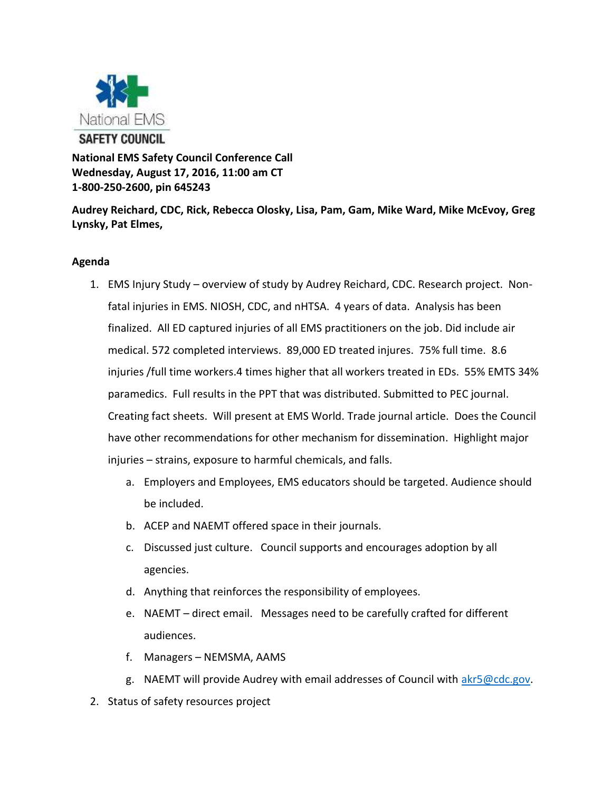

**National EMS Safety Council Conference Call Wednesday, August 17, 2016, 11:00 am CT 1-800-250-2600, pin 645243**

**Audrey Reichard, CDC, Rick, Rebecca Olosky, Lisa, Pam, Gam, Mike Ward, Mike McEvoy, Greg Lynsky, Pat Elmes,** 

## **Agenda**

- 1. EMS Injury Study overview of study by Audrey Reichard, CDC. Research project. Nonfatal injuries in EMS. NIOSH, CDC, and nHTSA. 4 years of data. Analysis has been finalized. All ED captured injuries of all EMS practitioners on the job. Did include air medical. 572 completed interviews. 89,000 ED treated injures. 75% full time. 8.6 injuries /full time workers.4 times higher that all workers treated in EDs. 55% EMTS 34% paramedics. Full results in the PPT that was distributed. Submitted to PEC journal. Creating fact sheets. Will present at EMS World. Trade journal article. Does the Council have other recommendations for other mechanism for dissemination. Highlight major injuries – strains, exposure to harmful chemicals, and falls.
	- a. Employers and Employees, EMS educators should be targeted. Audience should be included.
	- b. ACEP and NAEMT offered space in their journals.
	- c. Discussed just culture. Council supports and encourages adoption by all agencies.
	- d. Anything that reinforces the responsibility of employees.
	- e. NAEMT direct email. Messages need to be carefully crafted for different audiences.
	- f. Managers NEMSMA, AAMS
	- g. NAEMT will provide Audrey with email addresses of Council with [akr5@cdc.gov.](mailto:akr5@cdc.gov)
- 2. Status of safety resources project